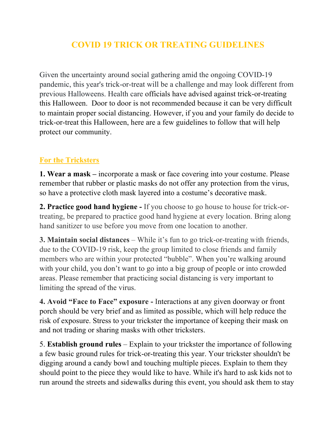## **COVID 19 TRICK OR TREATING GUIDELINES**

Given the uncertainty around social gathering amid the ongoing COVID-19 pandemic, this year's trick-or-treat will be a challenge and may look different from previous Halloweens. Health care officials have advised against trick-or-treating this Halloween. Door to door is not recommended because it can be very difficult to maintain proper social distancing. However, if you and your family do decide to trick-or-treat this Halloween, here are a few guidelines to follow that will help protect our community.

## **For the Tricksters**

**1. Wear a mask –** incorporate a mask or face covering into your costume. Please remember that rubber or plastic masks do not offer any protection from the virus, so have a protective cloth mask layered into a costume's decorative mask.

**2. Practice good hand hygiene -** If you choose to go house to house for trick-ortreating, be prepared to practice good hand hygiene at every location. Bring along hand sanitizer to use before you move from one location to another.

**3. Maintain social distances** – While it's fun to go trick-or-treating with friends, due to the COVID-19 risk, keep the group limited to close friends and family members who are within your protected "bubble". When you're walking around with your child, you don't want to go into a big group of people or into crowded areas. Please remember that practicing social distancing is very important to limiting the spread of the virus.

**4. Avoid "Face to Face" exposure -** Interactions at any given doorway or front porch should be very brief and as limited as possible, which will help reduce the risk of exposure. Stress to your trickster the importance of keeping their mask on and not trading or sharing masks with other tricksters.

5. **Establish ground rules** – Explain to your trickster the importance of following a few basic ground rules for trick-or-treating this year. Your trickster shouldn't be digging around a candy bowl and touching multiple pieces. Explain to them they should point to the piece they would like to have. While it's hard to ask kids not to run around the streets and sidewalks during this event, you should ask them to stay